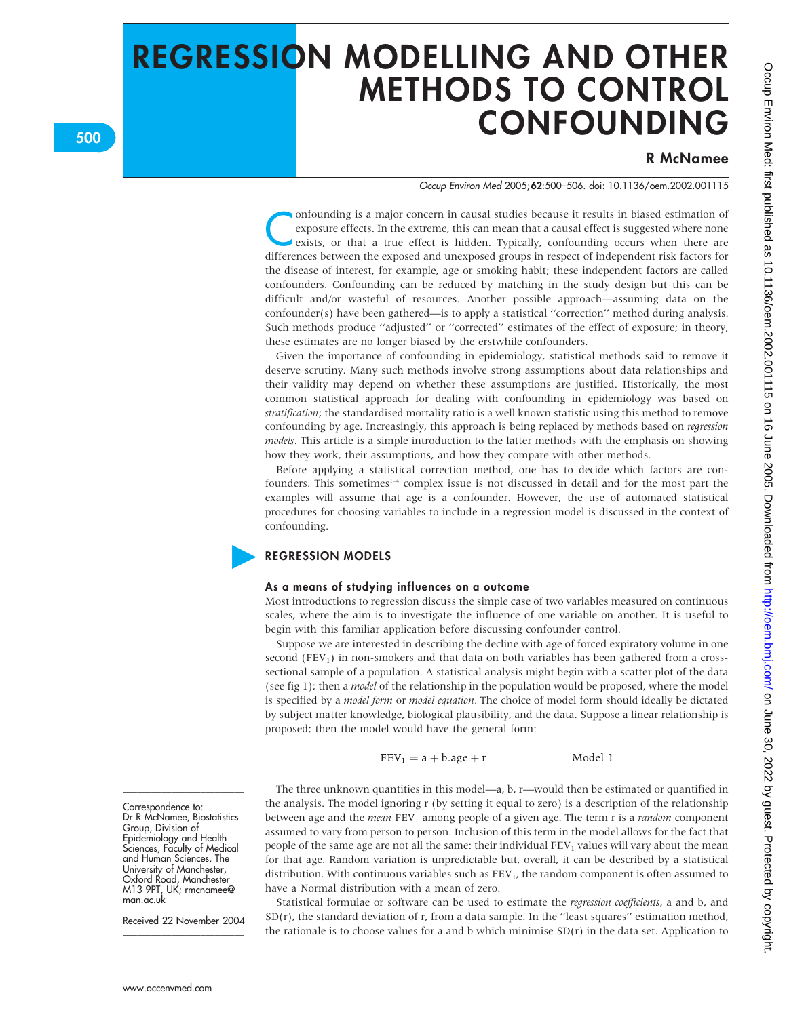# REGRESSION MODELLING AND OTHER METHODS TO CONTROL CONFOUNDING

# R McNamee

Occup Environ Med 2005;62:500–506. doi: 10.1136/oem.2002.001115

onfounding is a major concern in causal studies because it results in biased estimation of exposure effects. In the extreme, this can mean that a causal effect is suggested where none exists, or that a true effect is hidde exposure effects. In the extreme, this can mean that a causal effect is suggested where none exists, or that a true effect is hidden. Typically, confounding occurs when there are differences between the exposed and unexposed groups in respect of independent risk factors for the disease of interest, for example, age or smoking habit; these independent factors are called confounders. Confounding can be reduced by matching in the study design but this can be difficult and/or wasteful of resources. Another possible approach—assuming data on the confounder(s) have been gathered—is to apply a statistical ''correction'' method during analysis. Such methods produce "adjusted" or "corrected" estimates of the effect of exposure; in theory, these estimates are no longer biased by the erstwhile confounders.

Given the importance of confounding in epidemiology, statistical methods said to remove it deserve scrutiny. Many such methods involve strong assumptions about data relationships and their validity may depend on whether these assumptions are justified. Historically, the most common statistical approach for dealing with confounding in epidemiology was based on stratification; the standardised mortality ratio is a well known statistic using this method to remove confounding by age. Increasingly, this approach is being replaced by methods based on regression models. This article is a simple introduction to the latter methods with the emphasis on showing how they work, their assumptions, and how they compare with other methods.

Before applying a statistical correction method, one has to decide which factors are confounders. This sometimes<sup> $1-4$ </sup> complex issue is not discussed in detail and for the most part the examples will assume that age is a confounder. However, the use of automated statistical procedures for choosing variables to include in a regression model is discussed in the context of confounding.

# REGRESSION MODELS

## As a means of studying influences on a outcome

Most introductions to regression discuss the simple case of two variables measured on continuous scales, where the aim is to investigate the influence of one variable on another. It is useful to begin with this familiar application before discussing confounder control.

Suppose we are interested in describing the decline with age of forced expiratory volume in one second  $(FEV<sub>1</sub>)$  in non-smokers and that data on both variables has been gathered from a crosssectional sample of a population. A statistical analysis might begin with a scatter plot of the data (see fig 1); then a *model* of the relationship in the population would be proposed, where the model is specified by a *model form* or *model equation*. The choice of model form should ideally be dictated by subject matter knowledge, biological plausibility, and the data. Suppose a linear relationship is proposed; then the model would have the general form:

$$
FEV_1 = a + b.age + r
$$
 Model 1

The three unknown quantities in this model—a, b, r—would then be estimated or quantified in the analysis. The model ignoring r (by setting it equal to zero) is a description of the relationship between age and the mean FEV<sub>1</sub> among people of a given age. The term r is a random component assumed to vary from person to person. Inclusion of this term in the model allows for the fact that people of the same age are not all the same: their individual  $FEV<sub>1</sub>$  values will vary about the mean for that age. Random variation is unpredictable but, overall, it can be described by a statistical distribution. With continuous variables such as  $FEV<sub>1</sub>$ , the random component is often assumed to have a Normal distribution with a mean of zero.

Statistical formulae or software can be used to estimate the regression coefficients, a and b, and  $SD(r)$ , the standard deviation of r, from a data sample. In the "least squares" estimation method, the rationale is to choose values for a and b which minimise  $SD(r)$  in the data set. Application to

\_\_\_\_\_\_\_\_\_\_\_\_\_\_\_\_\_\_\_\_\_\_\_\_\_

Received 22 November 2004 \_\_\_\_\_\_\_\_\_\_\_\_\_\_\_\_\_\_\_\_\_\_\_\_\_

Correspondence to: Dr R McNamee, Biostatistics Group, Division of Epidemiology and Health Sciences, Faculty of Medical and Human Sciences, The University of Manchester, Oxford Road, Manchester M13 9PT, UK; rmcnamee@ man.ac.uk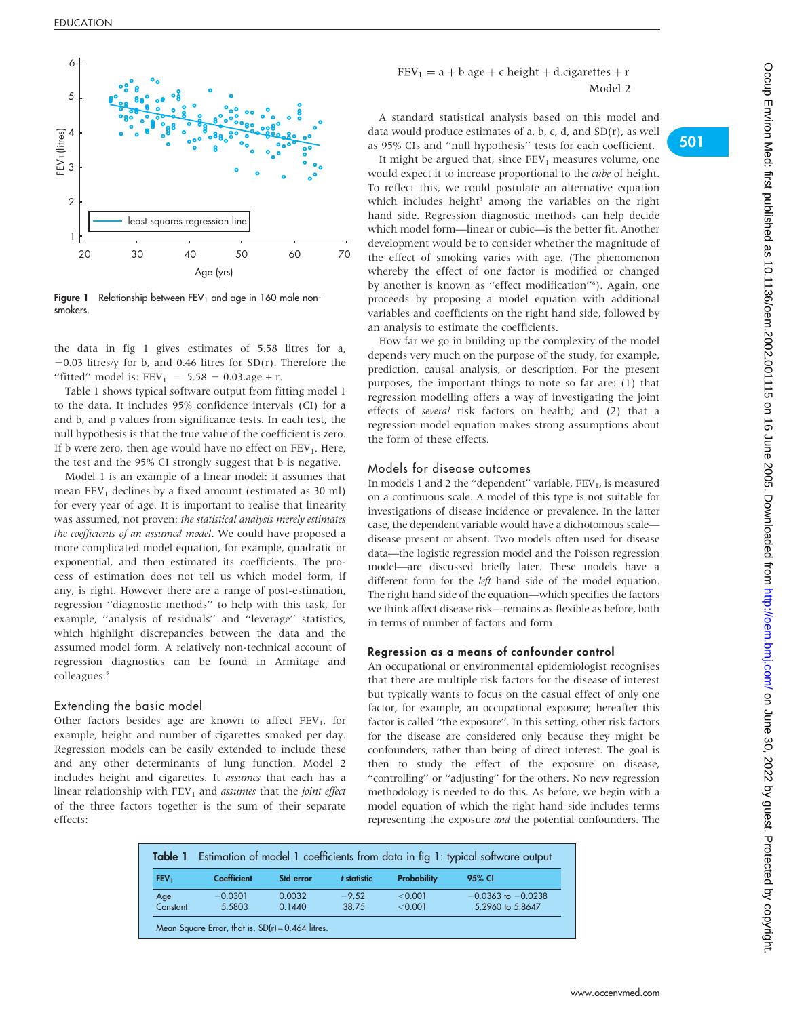

Figure 1 Relationship between  $FEV_1$  and age in 160 male nonsmokers.

the data in fig 1 gives estimates of 5.58 litres for a,  $-0.03$  litres/y for b, and 0.46 litres for SD(r). Therefore the "fitted" model is:  $FEV_1 = 5.58 - 0.03 \text{ age} + r.$ 

Table 1 shows typical software output from fitting model 1 to the data. It includes 95% confidence intervals (CI) for a and b, and p values from significance tests. In each test, the null hypothesis is that the true value of the coefficient is zero. If b were zero, then age would have no effect on  $FEV<sub>1</sub>$ . Here, the test and the 95% CI strongly suggest that b is negative.

Model 1 is an example of a linear model: it assumes that mean  $FEV<sub>1</sub>$  declines by a fixed amount (estimated as 30 ml) for every year of age. It is important to realise that linearity was assumed, not proven: the statistical analysis merely estimates the coefficients of an assumed model. We could have proposed a more complicated model equation, for example, quadratic or exponential, and then estimated its coefficients. The process of estimation does not tell us which model form, if any, is right. However there are a range of post-estimation, regression ''diagnostic methods'' to help with this task, for example, ''analysis of residuals'' and ''leverage'' statistics, which highlight discrepancies between the data and the assumed model form. A relatively non-technical account of regression diagnostics can be found in Armitage and colleagues.<sup>5</sup>

#### Extending the basic model

Other factors besides age are known to affect  $FEV<sub>1</sub>$ , for example, height and number of cigarettes smoked per day. Regression models can be easily extended to include these and any other determinants of lung function. Model 2 includes height and cigarettes. It assumes that each has a linear relationship with  $FEV<sub>1</sub>$  and assumes that the joint effect of the three factors together is the sum of their separate effects:

# $FEV_1 = a + b \cdot age + c \cdot height + d \cdot c \cdot igaret \cdot ts + r$ Model 2

A standard statistical analysis based on this model and data would produce estimates of a, b, c, d, and SD(r), as well as 95% CIs and ''null hypothesis'' tests for each coefficient. It might be argued that, since  $FEV<sub>1</sub>$  measures volume, one

would expect it to increase proportional to the cube of height. To reflect this, we could postulate an alternative equation which includes height<sup>3</sup> among the variables on the right hand side. Regression diagnostic methods can help decide which model form—linear or cubic—is the better fit. Another development would be to consider whether the magnitude of the effect of smoking varies with age. (The phenomenon whereby the effect of one factor is modified or changed by another is known as ''effect modification''6 ). Again, one proceeds by proposing a model equation with additional variables and coefficients on the right hand side, followed by an analysis to estimate the coefficients.

How far we go in building up the complexity of the model depends very much on the purpose of the study, for example, prediction, causal analysis, or description. For the present purposes, the important things to note so far are: (1) that regression modelling offers a way of investigating the joint effects of several risk factors on health; and (2) that a regression model equation makes strong assumptions about the form of these effects.

#### Models for disease outcomes

In models 1 and 2 the "dependent" variable,  $FEV<sub>1</sub>$ , is measured on a continuous scale. A model of this type is not suitable for investigations of disease incidence or prevalence. In the latter case, the dependent variable would have a dichotomous scale disease present or absent. Two models often used for disease data—the logistic regression model and the Poisson regression model—are discussed briefly later. These models have a different form for the left hand side of the model equation. The right hand side of the equation—which specifies the factors we think affect disease risk—remains as flexible as before, both in terms of number of factors and form.

## Regression as a means of confounder control

An occupational or environmental epidemiologist recognises that there are multiple risk factors for the disease of interest but typically wants to focus on the casual effect of only one factor, for example, an occupational exposure; hereafter this factor is called ''the exposure''. In this setting, other risk factors for the disease are considered only because they might be confounders, rather than being of direct interest. The goal is then to study the effect of the exposure on disease, ''controlling'' or ''adjusting'' for the others. No new regression methodology is needed to do this. As before, we begin with a model equation of which the right hand side includes terms representing the exposure and the potential confounders. The

| FEV <sub>1</sub> | <b>Coefficient</b> | Std error | t statistic | Probability | 95% CI                 |
|------------------|--------------------|-----------|-------------|-------------|------------------------|
| Age              | $-0.0301$          | 0.0032    | $-9.52$     | < 0.001     | $-0.0363$ to $-0.0238$ |
| Constant         | 5.5803             | 0.1440    | 38.75       | < 0.001     | 5.2960 to 5.8647       |

501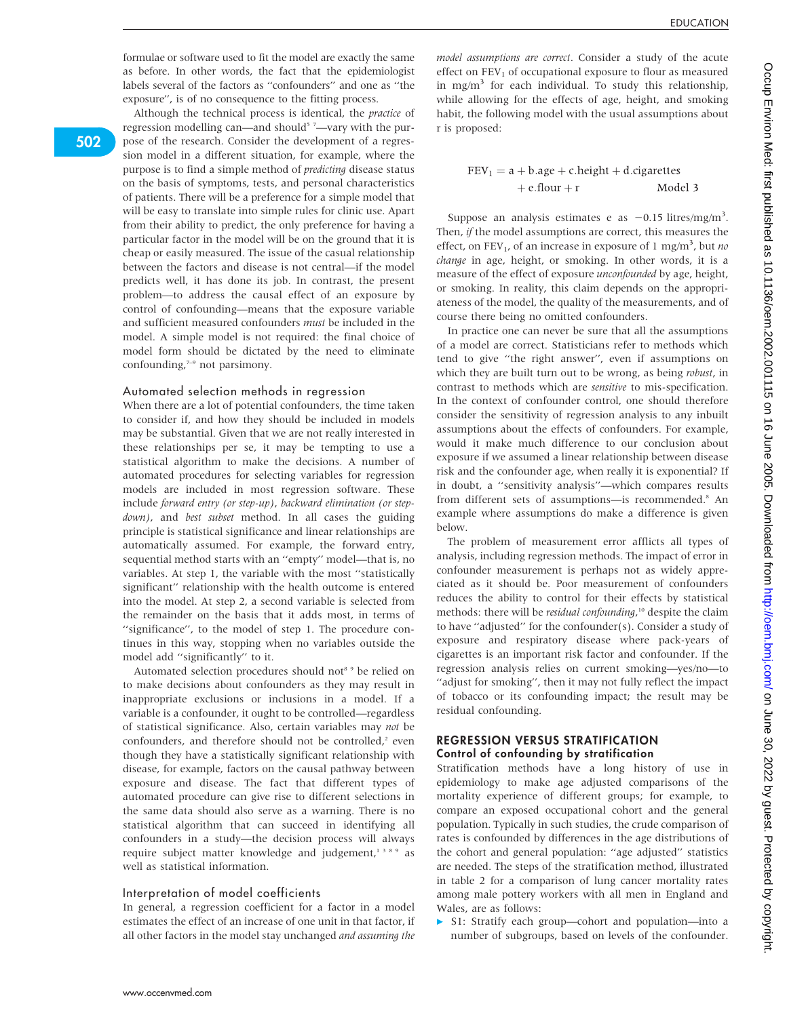formulae or software used to fit the model are exactly the same as before. In other words, the fact that the epidemiologist labels several of the factors as ''confounders'' and one as ''the exposure'', is of no consequence to the fitting process.

502

Although the technical process is identical, the practice of regression modelling can—and should<sup>57</sup>—vary with the purpose of the research. Consider the development of a regression model in a different situation, for example, where the purpose is to find a simple method of *predicting* disease status on the basis of symptoms, tests, and personal characteristics of patients. There will be a preference for a simple model that will be easy to translate into simple rules for clinic use. Apart from their ability to predict, the only preference for having a particular factor in the model will be on the ground that it is cheap or easily measured. The issue of the casual relationship between the factors and disease is not central—if the model predicts well, it has done its job. In contrast, the present problem—to address the causal effect of an exposure by control of confounding—means that the exposure variable and sufficient measured confounders must be included in the model. A simple model is not required: the final choice of model form should be dictated by the need to eliminate confounding,<sup>7-9</sup> not parsimony.

#### Automated selection methods in regression

When there are a lot of potential confounders, the time taken to consider if, and how they should be included in models may be substantial. Given that we are not really interested in these relationships per se, it may be tempting to use a statistical algorithm to make the decisions. A number of automated procedures for selecting variables for regression models are included in most regression software. These include forward entry (or step-up), backward elimination (or stepdown), and best subset method. In all cases the guiding principle is statistical significance and linear relationships are automatically assumed. For example, the forward entry, sequential method starts with an ''empty'' model—that is, no variables. At step 1, the variable with the most ''statistically significant'' relationship with the health outcome is entered into the model. At step 2, a second variable is selected from the remainder on the basis that it adds most, in terms of ''significance'', to the model of step 1. The procedure continues in this way, stopping when no variables outside the model add ''significantly'' to it.

Automated selection procedures should not<sup>8</sup> <sup>9</sup> be relied on to make decisions about confounders as they may result in inappropriate exclusions or inclusions in a model. If a variable is a confounder, it ought to be controlled—regardless of statistical significance. Also, certain variables may not be confounders, and therefore should not be controlled,<sup>2</sup> even though they have a statistically significant relationship with disease, for example, factors on the causal pathway between exposure and disease. The fact that different types of automated procedure can give rise to different selections in the same data should also serve as a warning. There is no statistical algorithm that can succeed in identifying all confounders in a study—the decision process will always require subject matter knowledge and judgement,<sup>1389</sup> as well as statistical information.

#### Interpretation of model coefficients

In general, a regression coefficient for a factor in a model estimates the effect of an increase of one unit in that factor, if all other factors in the model stay unchanged and assuming the model assumptions are correct. Consider a study of the acute effect on  $FEV<sub>1</sub>$  of occupational exposure to flour as measured in mg/m<sup>3</sup> for each individual. To study this relationship, while allowing for the effects of age, height, and smoking habit, the following model with the usual assumptions about r is proposed:

$$
FEV1 = a + b.age + c. height + d. cigarettees+ e. flour + r
$$
 Model 3

Suppose an analysis estimates e as  $-0.15$  litres/mg/m<sup>3</sup>. Then, if the model assumptions are correct, this measures the effect, on  $FEV_1$ , of an increase in exposure of 1 mg/m<sup>3</sup>, but no change in age, height, or smoking. In other words, it is a measure of the effect of exposure unconfounded by age, height, or smoking. In reality, this claim depends on the appropriateness of the model, the quality of the measurements, and of course there being no omitted confounders.

In practice one can never be sure that all the assumptions of a model are correct. Statisticians refer to methods which tend to give ''the right answer'', even if assumptions on which they are built turn out to be wrong, as being *robust*, in contrast to methods which are sensitive to mis-specification. In the context of confounder control, one should therefore consider the sensitivity of regression analysis to any inbuilt assumptions about the effects of confounders. For example, would it make much difference to our conclusion about exposure if we assumed a linear relationship between disease risk and the confounder age, when really it is exponential? If in doubt, a ''sensitivity analysis''—which compares results from different sets of assumptions-is recommended.<sup>8</sup> An example where assumptions do make a difference is given below.

The problem of measurement error afflicts all types of analysis, including regression methods. The impact of error in confounder measurement is perhaps not as widely appreciated as it should be. Poor measurement of confounders reduces the ability to control for their effects by statistical methods: there will be *residual confounding*,<sup>10</sup> despite the claim to have ''adjusted'' for the confounder(s). Consider a study of exposure and respiratory disease where pack-years of cigarettes is an important risk factor and confounder. If the regression analysis relies on current smoking—yes/no—to ''adjust for smoking'', then it may not fully reflect the impact of tobacco or its confounding impact; the result may be residual confounding.

#### REGRESSION VERSUS STRATIFICATION Control of confounding by stratification

Stratification methods have a long history of use in epidemiology to make age adjusted comparisons of the mortality experience of different groups; for example, to compare an exposed occupational cohort and the general population. Typically in such studies, the crude comparison of rates is confounded by differences in the age distributions of the cohort and general population: ''age adjusted'' statistics are needed. The steps of the stratification method, illustrated in table 2 for a comparison of lung cancer mortality rates among male pottery workers with all men in England and Wales, are as follows:

▶ S1: Stratify each group—cohort and population—into a number of subgroups, based on levels of the confounder.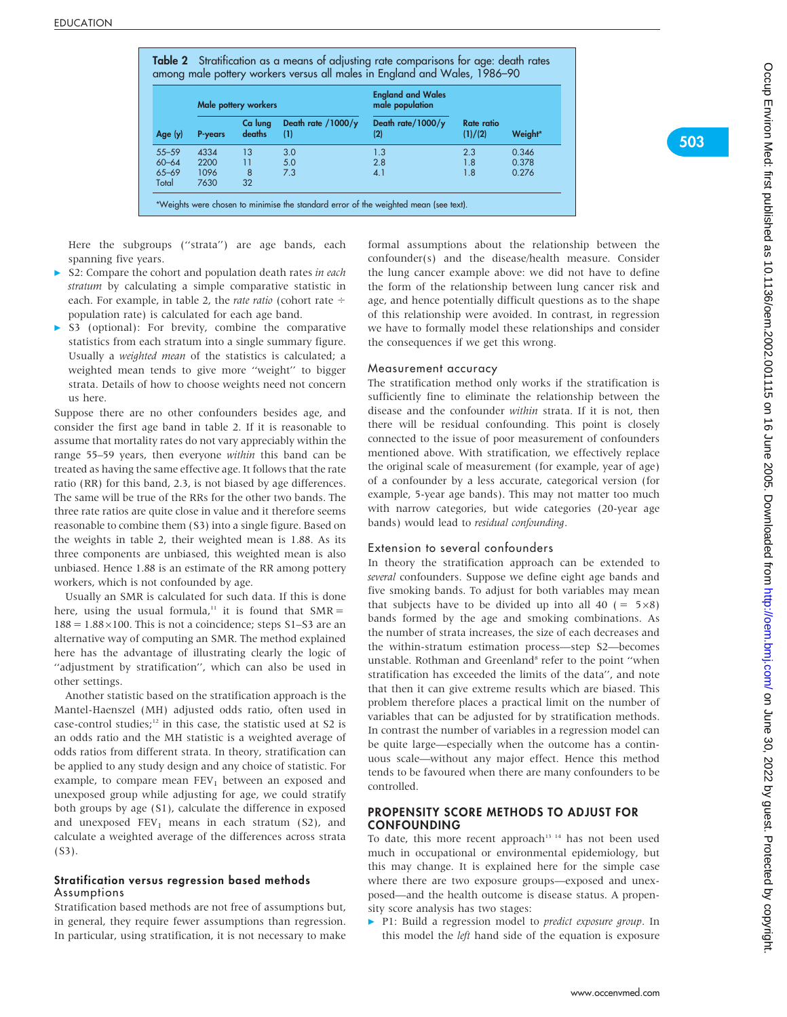| Male pottery workers |         |                   | <b>England and Wales</b><br>male population |                          |                              |         |
|----------------------|---------|-------------------|---------------------------------------------|--------------------------|------------------------------|---------|
| Age $(y)$            | P-years | Ca lung<br>deaths | Death rate /1000/y<br>(1)                   | Death rate/1000/y<br>(2) | <b>Rate ratio</b><br>(1)/(2) | Weight* |
| $55 - 59$            | 4334    | 13                | 3.0                                         | 1.3                      | 2.3                          | 0.346   |
| $60 - 64$            | 2200    | 11                | 5.0                                         | 2.8                      | 1.8                          | 0.378   |
| $65 - 69$            | 1096    | -8                | 7.3                                         | 4.1                      | 1.8                          | 0.276   |
| Total                | 7630    | 32                |                                             |                          |                              |         |

Here the subgroups (''strata'') are age bands, each spanning five years.

- S2: Compare the cohort and population death rates in each stratum by calculating a simple comparative statistic in each. For example, in table 2, the *rate ratio* (cohort rate  $\div$ population rate) is calculated for each age band.
- S3 (optional): For brevity, combine the comparative statistics from each stratum into a single summary figure. Usually a weighted mean of the statistics is calculated; a weighted mean tends to give more ''weight'' to bigger strata. Details of how to choose weights need not concern us here.

Suppose there are no other confounders besides age, and consider the first age band in table 2. If it is reasonable to assume that mortality rates do not vary appreciably within the range 55–59 years, then everyone within this band can be treated as having the same effective age. It follows that the rate ratio (RR) for this band, 2.3, is not biased by age differences. The same will be true of the RRs for the other two bands. The three rate ratios are quite close in value and it therefore seems reasonable to combine them (S3) into a single figure. Based on the weights in table 2, their weighted mean is 1.88. As its three components are unbiased, this weighted mean is also unbiased. Hence 1.88 is an estimate of the RR among pottery workers, which is not confounded by age.

Usually an SMR is calculated for such data. If this is done here, using the usual formula,<sup>11</sup> it is found that  $SMR =$  $188 = 1.88 \times 100$ . This is not a coincidence; steps S1–S3 are an alternative way of computing an SMR. The method explained here has the advantage of illustrating clearly the logic of ''adjustment by stratification'', which can also be used in other settings.

Another statistic based on the stratification approach is the Mantel-Haenszel (MH) adjusted odds ratio, often used in case-control studies;<sup>12</sup> in this case, the statistic used at S2 is an odds ratio and the MH statistic is a weighted average of odds ratios from different strata. In theory, stratification can be applied to any study design and any choice of statistic. For example, to compare mean  $FEV<sub>1</sub>$  between an exposed and unexposed group while adjusting for age, we could stratify both groups by age (S1), calculate the difference in exposed and unexposed  $FEV_1$  means in each stratum (S2), and calculate a weighted average of the differences across strata (S3).

#### Stratification versus regression based methods Assumptions

Stratification based methods are not free of assumptions but, in general, they require fewer assumptions than regression. In particular, using stratification, it is not necessary to make formal assumptions about the relationship between the confounder(s) and the disease/health measure. Consider the lung cancer example above: we did not have to define the form of the relationship between lung cancer risk and age, and hence potentially difficult questions as to the shape of this relationship were avoided. In contrast, in regression we have to formally model these relationships and consider the consequences if we get this wrong.

#### Measurement accuracy

The stratification method only works if the stratification is sufficiently fine to eliminate the relationship between the disease and the confounder within strata. If it is not, then there will be residual confounding. This point is closely connected to the issue of poor measurement of confounders mentioned above. With stratification, we effectively replace the original scale of measurement (for example, year of age) of a confounder by a less accurate, categorical version (for example, 5-year age bands). This may not matter too much with narrow categories, but wide categories (20-year age bands) would lead to residual confounding.

# Extension to several confounders

In theory the stratification approach can be extended to several confounders. Suppose we define eight age bands and five smoking bands. To adjust for both variables may mean that subjects have to be divided up into all 40 ( $= 5 \times 8$ ) bands formed by the age and smoking combinations. As the number of strata increases, the size of each decreases and the within-stratum estimation process—step S2—becomes unstable. Rothman and Greenland<sup>8</sup> refer to the point "when stratification has exceeded the limits of the data'', and note that then it can give extreme results which are biased. This problem therefore places a practical limit on the number of variables that can be adjusted for by stratification methods. In contrast the number of variables in a regression model can be quite large—especially when the outcome has a continuous scale—without any major effect. Hence this method tends to be favoured when there are many confounders to be controlled.

# PROPENSITY SCORE METHODS TO ADJUST FOR CONFOUNDING

To date, this more recent approach<sup>13 14</sup> has not been used much in occupational or environmental epidemiology, but this may change. It is explained here for the simple case where there are two exposure groups—exposed and unexposed—and the health outcome is disease status. A propensity score analysis has two stages:

P1: Build a regression model to *predict exposure group*. In this model the left hand side of the equation is exposure 503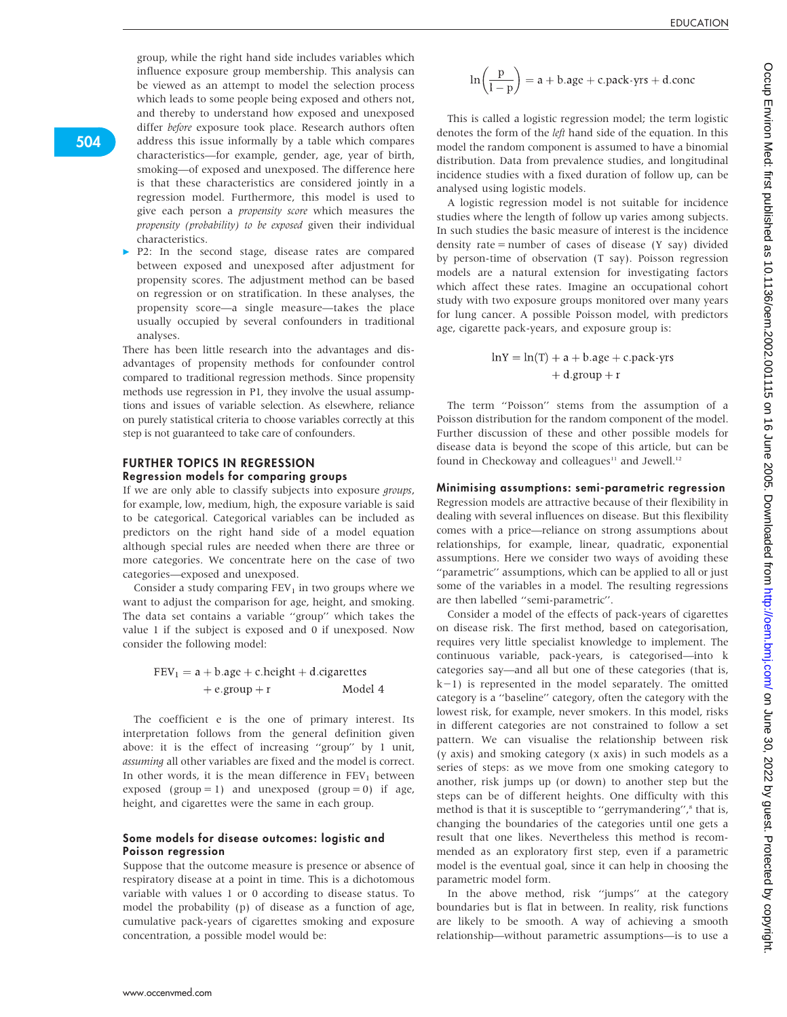group, while the right hand side includes variables which influence exposure group membership. This analysis can be viewed as an attempt to model the selection process which leads to some people being exposed and others not, and thereby to understand how exposed and unexposed differ before exposure took place. Research authors often address this issue informally by a table which compares characteristics—for example, gender, age, year of birth, smoking—of exposed and unexposed. The difference here is that these characteristics are considered jointly in a regression model. Furthermore, this model is used to give each person a *propensity score* which measures the propensity (probability) to be exposed given their individual characteristics.

P2: In the second stage, disease rates are compared between exposed and unexposed after adjustment for propensity scores. The adjustment method can be based on regression or on stratification. In these analyses, the propensity score—a single measure—takes the place usually occupied by several confounders in traditional analyses.

There has been little research into the advantages and disadvantages of propensity methods for confounder control compared to traditional regression methods. Since propensity methods use regression in P1, they involve the usual assumptions and issues of variable selection. As elsewhere, reliance on purely statistical criteria to choose variables correctly at this step is not guaranteed to take care of confounders.

#### FURTHER TOPICS IN REGRESSION Regression models for comparing groups

If we are only able to classify subjects into exposure groups, for example, low, medium, high, the exposure variable is said to be categorical. Categorical variables can be included as predictors on the right hand side of a model equation although special rules are needed when there are three or more categories. We concentrate here on the case of two categories—exposed and unexposed.

Consider a study comparing  $FEV<sub>1</sub>$  in two groups where we want to adjust the comparison for age, height, and smoking. The data set contains a variable ''group'' which takes the value 1 if the subject is exposed and 0 if unexposed. Now consider the following model:

$$
FEV1 = a + b.age + c.height + d. eigenettes
$$
  
+ e.group + r Model 4

The coefficient e is the one of primary interest. Its interpretation follows from the general definition given above: it is the effect of increasing ''group'' by 1 unit, assuming all other variables are fixed and the model is correct. In other words, it is the mean difference in  $FEV<sub>1</sub>$  between exposed (group = 1) and unexposed (group = 0) if age, height, and cigarettes were the same in each group.

#### Some models for disease outcomes: logistic and Poisson regression

Suppose that the outcome measure is presence or absence of respiratory disease at a point in time. This is a dichotomous variable with values 1 or 0 according to disease status. To model the probability (p) of disease as a function of age, cumulative pack-years of cigarettes smoking and exposure concentration, a possible model would be:

$$
\ln\left(\frac{p}{1-p}\right) = a + b \cdot age + c \cdot pack - yrs + d \cdot conc
$$

This is called a logistic regression model; the term logistic denotes the form of the left hand side of the equation. In this model the random component is assumed to have a binomial distribution. Data from prevalence studies, and longitudinal incidence studies with a fixed duration of follow up, can be analysed using logistic models.

A logistic regression model is not suitable for incidence studies where the length of follow up varies among subjects. In such studies the basic measure of interest is the incidence density rate = number of cases of disease (Y say) divided by person-time of observation (T say). Poisson regression models are a natural extension for investigating factors which affect these rates. Imagine an occupational cohort study with two exposure groups monitored over many years for lung cancer. A possible Poisson model, with predictors age, cigarette pack-years, and exposure group is:

$$
lnY = ln(T) + a + b.age + c.pack-yrs + d.group + r
$$

The term ''Poisson'' stems from the assumption of a Poisson distribution for the random component of the model. Further discussion of these and other possible models for disease data is beyond the scope of this article, but can be found in Checkoway and colleagues<sup>11</sup> and Jewell.<sup>12</sup>

#### Minimising assumptions: semi-parametric regression

Regression models are attractive because of their flexibility in dealing with several influences on disease. But this flexibility comes with a price—reliance on strong assumptions about relationships, for example, linear, quadratic, exponential assumptions. Here we consider two ways of avoiding these "parametric" assumptions, which can be applied to all or just some of the variables in a model. The resulting regressions are then labelled ''semi-parametric''.

Consider a model of the effects of pack-years of cigarettes on disease risk. The first method, based on categorisation, requires very little specialist knowledge to implement. The continuous variable, pack-years, is categorised—into k categories say—and all but one of these categories (that is,  $k-1$ ) is represented in the model separately. The omitted category is a ''baseline'' category, often the category with the lowest risk, for example, never smokers. In this model, risks in different categories are not constrained to follow a set pattern. We can visualise the relationship between risk (y axis) and smoking category (x axis) in such models as a series of steps: as we move from one smoking category to another, risk jumps up (or down) to another step but the steps can be of different heights. One difficulty with this method is that it is susceptible to "gerrymandering",<sup>8</sup> that is, changing the boundaries of the categories until one gets a result that one likes. Nevertheless this method is recommended as an exploratory first step, even if a parametric model is the eventual goal, since it can help in choosing the parametric model form.

In the above method, risk ''jumps'' at the category boundaries but is flat in between. In reality, risk functions are likely to be smooth. A way of achieving a smooth relationship—without parametric assumptions—is to use a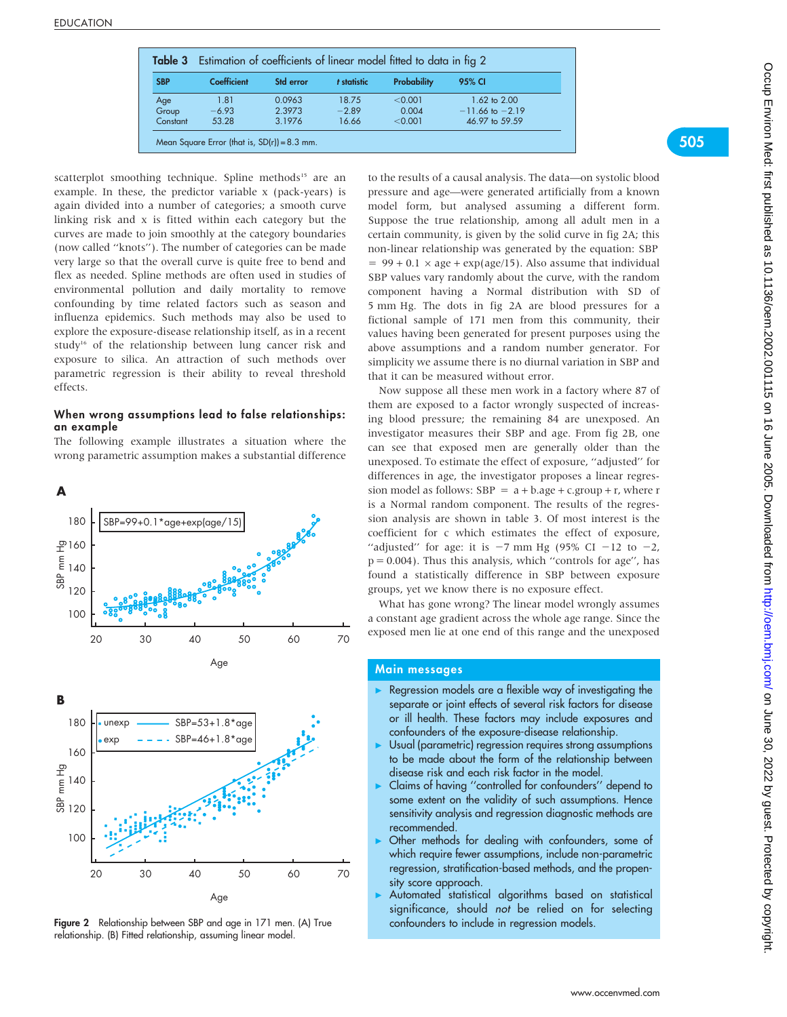| <b>SBP</b> | <b>Coefficient</b> | Std error | t statistic | Probability | 95% CI              |
|------------|--------------------|-----------|-------------|-------------|---------------------|
| Age        | 1.81               | 0.0963    | 18.75       | < 0.001     | 1.62 to 2.00        |
| Group      | $-6.93$            | 2.3973    | $-2.89$     | 0.004       | $-11.66$ to $-2.19$ |
| Constant   | 53.28              | 3.1976    | 16.66       | < 0.001     | 46.97 to 59.59      |

scatterplot smoothing technique. Spline methods<sup>15</sup> are an example. In these, the predictor variable x (pack-years) is again divided into a number of categories; a smooth curve linking risk and x is fitted within each category but the curves are made to join smoothly at the category boundaries (now called ''knots''). The number of categories can be made very large so that the overall curve is quite free to bend and flex as needed. Spline methods are often used in studies of environmental pollution and daily mortality to remove confounding by time related factors such as season and influenza epidemics. Such methods may also be used to explore the exposure-disease relationship itself, as in a recent study<sup>16</sup> of the relationship between lung cancer risk and exposure to silica. An attraction of such methods over parametric regression is their ability to reveal threshold effects.

# When wrong assumptions lead to false relationships: an example

The following example illustrates a situation where the wrong parametric assumption makes a substantial difference



Figure 2 Relationship between SBP and age in 171 men. (A) True relationship. (B) Fitted relationship, assuming linear model.

to the results of a causal analysis. The data—on systolic blood pressure and age—were generated artificially from a known model form, but analysed assuming a different form. Suppose the true relationship, among all adult men in a certain community, is given by the solid curve in fig 2A; this non-linear relationship was generated by the equation: SBP  $= 99 + 0.1 \times age + exp(age/15)$ . Also assume that individual SBP values vary randomly about the curve, with the random component having a Normal distribution with SD of 5 mm Hg. The dots in fig 2A are blood pressures for a fictional sample of 171 men from this community, their values having been generated for present purposes using the above assumptions and a random number generator. For simplicity we assume there is no diurnal variation in SBP and that it can be measured without error.

Now suppose all these men work in a factory where 87 of them are exposed to a factor wrongly suspected of increasing blood pressure; the remaining 84 are unexposed. An investigator measures their SBP and age. From fig 2B, one can see that exposed men are generally older than the unexposed. To estimate the effect of exposure, ''adjusted'' for differences in age, the investigator proposes a linear regression model as follows:  $SBP = a + b \cdot age + c \cdot group + r$ , where r is a Normal random component. The results of the regression analysis are shown in table 3. Of most interest is the coefficient for c which estimates the effect of exposure, "adjusted" for age: it is  $-7$  mm Hg (95% CI -12 to -2,  $p = 0.004$ ). Thus this analysis, which "controls for age", has found a statistically difference in SBP between exposure groups, yet we know there is no exposure effect.

What has gone wrong? The linear model wrongly assumes a constant age gradient across the whole age range. Since the

# Main messages

- Regression models are a flexible way of investigating the separate or joint effects of several risk factors for disease or ill health. These factors may include exposures and confounders of the exposure-disease relationship.
- Usual (parametric) regression requires strong assumptions to be made about the form of the relationship between disease risk and each risk factor in the model.
- Claims of having "controlled for confounders" depend to some extent on the validity of such assumptions. Hence sensitivity analysis and regression diagnostic methods are recommended.
- Other methods for dealing with confounders, some of which require fewer assumptions, include non-parametric regression, stratification-based methods, and the propensity score approach.
- Automated statistical algorithms based on statistical significance, should not be relied on for selecting confounders to include in regression models.